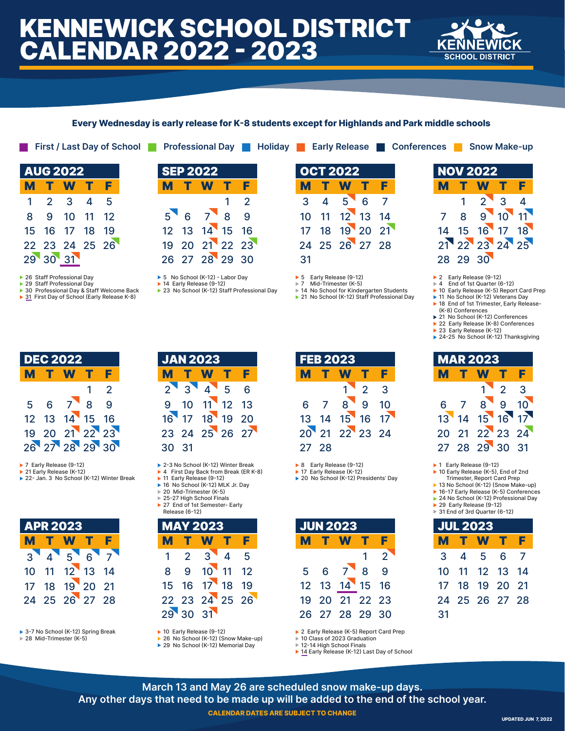# KENNEWICK SCHOOL DISTRICT CALENDAR 2022 - 2023



### **Every Wednesday is early release for K-8 students except for Highlands and Park middle schools**

| <b>AUG 2022</b> |               |             |      |    |  |  |  |  |
|-----------------|---------------|-------------|------|----|--|--|--|--|
| М               |               | W           | IT.  | F  |  |  |  |  |
| 1               | $\mathcal{P}$ | -3          | 4    | 5  |  |  |  |  |
| 8               | 9             | 10          | - 11 | 12 |  |  |  |  |
| 15              | 16            | 17          | -18  | 19 |  |  |  |  |
| 22              |               | 23 24 25 26 |      |    |  |  |  |  |
| 29              | <b>30</b>     | 31          |      |    |  |  |  |  |

▶ 26 Staff Professional Day

▶ 29 Staff Professional Day

- ▶ 30 Professional Day & Staff Welcome Back ▶ 31 First Day of School (Early Release K-8)
- 

|                     |                |               | First / Last Day of School |     |                 |                | <b>Professional Day   Holiday  </b> |                 |     |                                     |  | Early Release Conferences Show Make-up |                 |                                                 |  |
|---------------------|----------------|---------------|----------------------------|-----|-----------------|----------------|-------------------------------------|-----------------|-----|-------------------------------------|--|----------------------------------------|-----------------|-------------------------------------------------|--|
| <b>NUG 2022</b>     |                |               |                            |     | <b>SEP 2022</b> |                |                                     | <b>OCT 2022</b> |     |                                     |  |                                        | <b>NOV 2022</b> |                                                 |  |
| <b>MTW</b>          |                | F             |                            | M T | <b>W</b>        | - F            |                                     |                 | M T | W                                   |  |                                        | M T             | W                                               |  |
| $1 \quad 2 \quad 3$ | $\overline{4}$ | - 5           |                            |     |                 | $1 \quad 2$    |                                     |                 |     | $3 \quad 4 \quad 5 \quad 6 \quad 7$ |  |                                        |                 | $\begin{array}{cccc} 1 & 2 & 3 & 4 \end{array}$ |  |
| 8 9 10 11 12        |                |               |                            |     | 5 6 7 8 9       |                |                                     |                 |     | 10 11 12 13 14                      |  |                                        |                 | 7 8 9 10 11                                     |  |
| 5 16 17 18 19       |                |               |                            |     | 12 13 14 15 16  |                |                                     |                 |     | 17 18 19 20 21                      |  |                                        |                 | 14 15 16 17 18                                  |  |
|                     |                | 2 23 24 25 26 |                            |     |                 | 19 20 21 22 23 |                                     |                 |     | 24 25 26 27 28                      |  |                                        |                 | 21 22 23 24 25                                  |  |
| 9 30 31             |                |               |                            |     | 26 27 28 29 30  |                |                                     | 31              |     |                                     |  |                                        |                 | 28 29 30                                        |  |
|                     |                |               |                            |     |                 |                |                                     |                 |     |                                     |  |                                        |                 |                                                 |  |

▶ 5 No School (K-12) - Labor Day ▶ 14 Early Release (9-12)

▶ 23 No School (K-12) Staff Professional Day

| <b>OCT 2022</b> |   |              |   |    |  |  |  |  |
|-----------------|---|--------------|---|----|--|--|--|--|
| М               |   | T W T        |   | F  |  |  |  |  |
| 3               | 4 | $5^{\prime}$ | 6 | 7  |  |  |  |  |
| 10              |   | 11 12 13 14  |   |    |  |  |  |  |
| 17              |   | 18 19 20     |   | 21 |  |  |  |  |
| 2Δ              |   | 25 26 27 28  |   |    |  |  |  |  |
| 31              |   |              |   |    |  |  |  |  |

 $\triangleright$  5 Early Release (9-12)<br> $\triangleright$  7 Mid-Trimester (K-5) Mid-Trimester (K-5)

▶ 14 No School for Kindergarten Students

▶ 21 No School (K-12) Staff Professional Day

▶ 2 Early Release (9-12)

- 4 End of 1st Quarter (6-12)
- ▶ 10 Early Release (K-5) Report Card Prep ▶ 11 No School (K-12) Veterans Day
- ▶ 18 End of 1st Trimester, Early Release-(K-8) Conferences

|  |  |  | ▶ 21 No School (K-12) Conferences |  |
|--|--|--|-----------------------------------|--|
|  |  |  |                                   |  |

22 Early Release (K-8) Conferences ▶ 23 Early Release (K-12)

▶ 24-25 No School (K-12) Thanksgiving

| <b>MAR 2023</b> |     |                |               |                 |  |  |  |  |
|-----------------|-----|----------------|---------------|-----------------|--|--|--|--|
| M.              | T W |                | .T            | Е               |  |  |  |  |
|                 |     | 1.             | $\mathcal{P}$ | 3               |  |  |  |  |
| 6.              | 7   | $8^{\circ}$    | 9             | 10 <sup>1</sup> |  |  |  |  |
| 13              |     | 14 15 16 17    |               |                 |  |  |  |  |
| 20              |     | 21 22 23 24    |               |                 |  |  |  |  |
|                 |     | 27 28 29 30 31 |               |                 |  |  |  |  |

- ▶ 1 Early Release (9-12)
- ▶ 10 Early Release (K-5), End of 2nd Trimester, Report Card Prep
- 13 No School (K-12) (Snow Make-up) ▶ 16-17 Early Release (K-5) Conferences
- ▶ 24 No School (K-12) Professional Day
- ▶ 29 Early Release (9-12)
- 31 End of 3rd Quarter (6-12)

| <b>JUL 2023</b> |       |                |     |      |  |  |  |  |
|-----------------|-------|----------------|-----|------|--|--|--|--|
|                 | M T W |                | n T | F    |  |  |  |  |
| 3               |       | 4 5            | 6   | 7    |  |  |  |  |
| 10              |       | 11 12 13 14    |     |      |  |  |  |  |
| 17              | 18    | 19 20          |     | - 21 |  |  |  |  |
|                 |       | 24 25 26 27 28 |     |      |  |  |  |  |
| 31              |       |                |     |      |  |  |  |  |

|  | $\blacktriangleright$ 2 Edity Release (N-3) Report |
|--|----------------------------------------------------|
|  | ▶ 10 Class of 2023 Graduation                      |

▶ 14 Early Release (K-12) Last Day of School

DEC 2022 T W T F IAN 2022

▶ 7 Early Release (9-12)

M

▶ 21 Early Release (K-12)

▶ 22- Jan. 3 No School (K-12) Winter Break

28 29 30

|               | <b>APR 2023</b> |                |  |                |  |  |  |  |
|---------------|-----------------|----------------|--|----------------|--|--|--|--|
|               |                 | M T W T        |  | F              |  |  |  |  |
| $3^{\bullet}$ |                 | 456            |  | $\overline{7}$ |  |  |  |  |
| $10-10$       |                 | 11 12 13 14    |  |                |  |  |  |  |
| 17            |                 | 18 19 20 21    |  |                |  |  |  |  |
|               |                 | 24 25 26 27 28 |  |                |  |  |  |  |

▶ 3-7 No School (K-12) Spring Break ► 28 Mid-Trimester (K-5)

|       | JAN ZUZJ |                                |  |   |  |  |  |  |  |  |
|-------|----------|--------------------------------|--|---|--|--|--|--|--|--|
| М     |          | T W T                          |  |   |  |  |  |  |  |  |
|       |          | $2 \times 3 \times 4 \times 5$ |  | 6 |  |  |  |  |  |  |
|       |          | 9 10 11 12 13                  |  |   |  |  |  |  |  |  |
|       |          | 16 17 18 19 20                 |  |   |  |  |  |  |  |  |
|       |          | 23 24 25 26 27                 |  |   |  |  |  |  |  |  |
| 30 31 |          |                                |  |   |  |  |  |  |  |  |

- ▶ 2-3 No School (K-12) Winter Break
- ▶ 4 First Day Back from Break (ER K-8) ► 11 Early Release (9-12)
- ▶ 16 No School (K-12) MLK Jr. Day
- 20 Mid-Trimester (K-5)
- ▶ 25-27 High School Finals ▶ 27 End of 1st Semester- Early Release (6-12)

| <b>MAY 2023</b> |               |                |   |   |  |  |  |  |
|-----------------|---------------|----------------|---|---|--|--|--|--|
| М               |               | <b>W</b>       |   | F |  |  |  |  |
|                 | $\mathcal{P}$ | $\overline{3}$ | 4 | 5 |  |  |  |  |
| 8               |               | 9 10 11 12     |   |   |  |  |  |  |
| 15              |               | 16 17 18 19    |   |   |  |  |  |  |
|                 |               | 22 23 24 25 26 |   |   |  |  |  |  |
|                 |               | 29 30 31       |   |   |  |  |  |  |

▶ 10 Early Release (9-12)  $\triangleright$  26 No School (K-12) (Snow Make-up)

▶ 29 No School (K-12) Memorial Day

- FEB 2023 M 28 W T F
- ▶ 8 Early Release (9-12)

JUN 2023

▶ 17 Early Release (K-12) ▶ 20 No School (K-12) Presidents' Day

|                 |     |              |   | $\mathcal{P}$ |  |
|-----------------|-----|--------------|---|---------------|--|
| 5               | 6   | $7^{\prime}$ | 8 | 9             |  |
| 12 <sup>°</sup> | 13  | 14 15 16     |   |               |  |
| 19              | -20 | 21 22 23     |   |               |  |
|                 |     | 26 27 28 29  |   | 30            |  |
|                 |     |              |   |               |  |

W T F

▶ 2 Early Release (K-5) Report Card Prep

10 Class of 2023 Graduation 12-14 High School Finals

**March 13 and May 26 are scheduled snow make-up days. Any other days that need to be made up will be added to the end of the school year.**